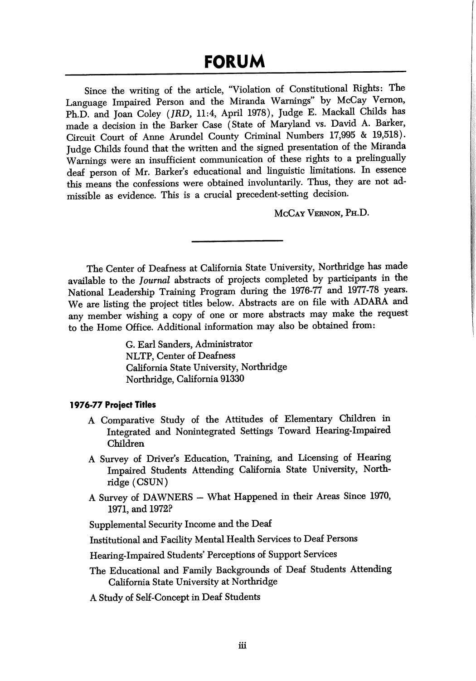Since the writing of the article, "Violation of Constitutional Rights: The Language Impaired Person and the Miranda Warnings" by McCay Vernon, Ph.D. and Joan Coley (JRD, 11:4, April 1978), Judge E. Mackall Childs has made a decision in the Barker Case (State of Maryland vs. David A. Barker, Circuit Court of Anne Arundel County Criminal Numbers 17,995 & 19,518). Judge Childs found that the written and the signed presentation of the Miranda Warnings were an insufficient communication of these rights to a prelingually deaf person of Mr. Barker's educational and linguistic limitations. In essence this means the confessions were obtained involuntarily. Thus, they are not ad missible as evidence. This is a crucial precedent-setting decision.

McCay Vernon, Ph.D.

The Center of Deafness at California State University, Northridge has made available to the Journal abstracts of projects completed by participants in the National Leadership Training Program during the 1976-77 and 1977-78 years. We are listing the project titles below. Abstracts are on file with ADARA and any member wishing a copy of one or more abstracts may make the request to the Home Office. Additional information may also be obtained from:

> G. Earl Sanders, Administrator NLTP, Center of Deafness California State University, Northridge Northridge, California 91330

## 1976-77 Project Titles

- A Comparative Study of the Attitudes of Elementary Children in Integrated and Nonintegrated Settings Toward Hearing-Impaired Children
- A Survey of Driver's Education, Training, and Licensing of Hearing Impaired Students Attending California State University, North ridge (CSUN)
- A Survey of DAWNERS What Happened in their Areas Since 1970, 1971, and 1972?

Supplemental Security Income and the Deaf

Institutional and Facility Mental Health Services to Deaf Persons

Hearing-Impaired Students' Perceptions of Support Services

The Educational and Family Backgrounds of Deaf Students Attending California State University at Northridge

A Study of Self-Concept in Deaf Students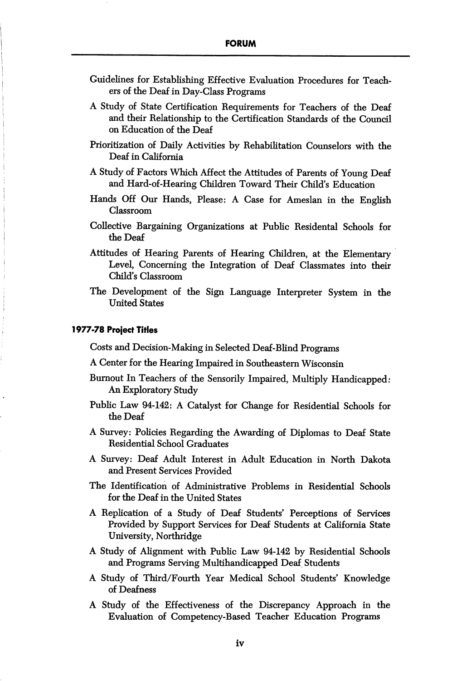- Guidelines for Establishing Effective Evaluation Procedures for Teach ers of the Deaf in Day-Class Programs
- A Study of State Certification Requirements for Teachers of the Deaf and their Relationship to the Certification Standards of the Council on Education of the Deaf
- Prioritization of Daily Activities by Rehabilitation Counselors with the Deaf in California
- A Study of Factors Which Affect the Attitudes of Parents of Young Deaf and Hard-of-Hearing Children Toward Their Child's Education
- Hands Off Our Hands, Please: A Case for Ameslan in the English Classroom
- Collective Bargaining Organizations at Public Residental Schools for the Deaf
- Attitudes of Hearing Parents of Hearing Children, at the Elementary Level, Concerning the Integration of Deaf Classmates into their Child's Classroom
- The Development of the Sign Language Interpreter System in the United States

## 1977-78 Project Titles

Costs and Decision-Making in Selected Deaf-Blind Programs

- A Center for the Hearing Impaired in Southeastern Wisconsin
- Burnout In Teachers of the Sensorily Impaired, Multiply Handicapped; An Exploratory Study
- Public Law 94-142: A Catalyst for Change for Residential Schools for the Deaf
- A Survey: Policies Regarding the Awarding of Diplomas to Deaf State Residential School Graduates
- A Survey: Deaf Adult Interest in Adult Education in North Dakota and Present Services Provided
- The Identification of Administrative Problems in Residential Schools for the Deaf in the United States
- A Replication of a Study of Deaf Students' Perceptions of Services Provided by Support Services for Deaf Students at California State University, Northridge
- A Study of Alignment with Public Law 94-142 by Residential Schools and Programs Serving Multihandicapped Deaf Students
- A Study of Third/Fourth Year Medical School Students' Knowledge of Deafness
- A Study of the Effectiveness of the Discrepancy Approach in the Evaluation of Competency-Based Teacher Education Programs